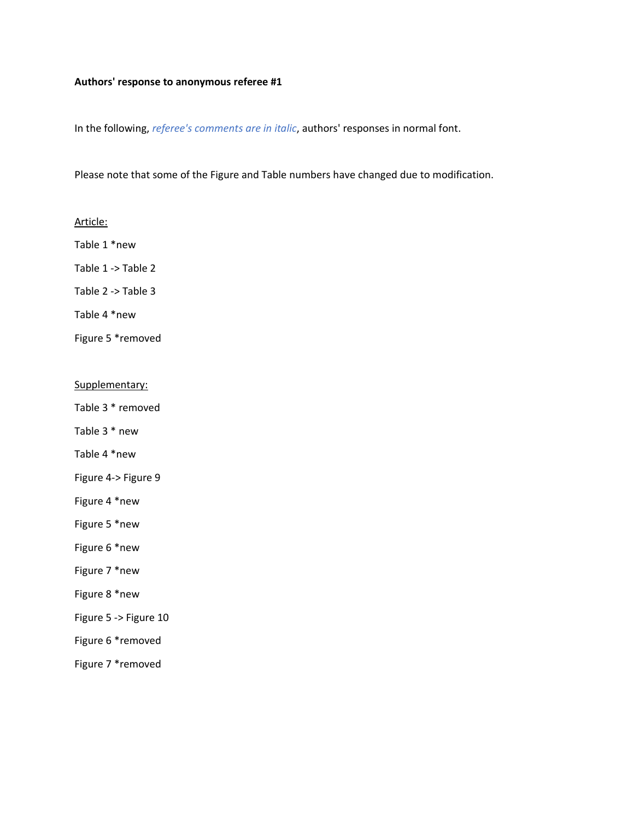#### **Authors' response to anonymous referee #1**

In the following, *referee's comments are in italic*, authors' responses in normal font.

Please note that some of the Figure and Table numbers have changed due to modification.

#### Article:

Table 1 \*new

Table 1 -> Table 2

Table 2 -> Table 3

Table 4 \*new

Figure 5 \*removed

#### Supplementary:

Table 3 \* removed

Table 3 \* new

Table 4 \*new

Figure 4-> Figure 9

Figure 4 \*new

Figure 5 \*new

Figure 6 \*new

Figure 7 \*new

Figure 8 \*new

Figure 5 -> Figure 10

Figure 6 \*removed

Figure 7 \*removed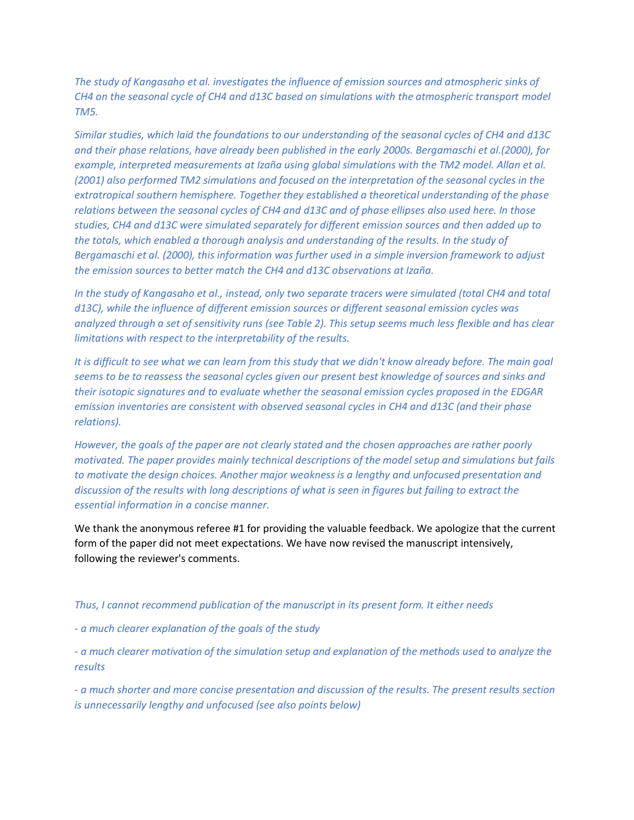*The study of Kangasaho et al. investigates the influence of emission sources and atmospheric sinks of CH4 on the seasonal cycle of CH4 and d13C based on simulations with the atmospheric transport model TM5.*

*Similar studies, which laid the foundations to our understanding of the seasonal cycles of CH4 and d13C and their phase relations, have already been published in the early 2000s. Bergamaschi et al.(2000), for example, interpreted measurements at Izaña using global simulations with the TM2 model. Allan et al. (2001) also performed TM2 simulations and focused on the interpretation of the seasonal cycles in the extratropical southern hemisphere. Together they established a theoretical understanding of the phase relations between the seasonal cycles of CH4 and d13C and of phase ellipses also used here. In those studies, CH4 and d13C were simulated separately for different emission sources and then added up to the totals, which enabled a thorough analysis and understanding of the results. In the study of Bergamaschi et al. (2000), this information was further used in a simple inversion framework to adjust the emission sources to better match the CH4 and d13C observations at Izaña.*

*In the study of Kangasaho et al., instead, only two separate tracers were simulated (total CH4 and total d13C), while the influence of different emission sources or different seasonal emission cycles was analyzed through a set of sensitivity runs (see Table 2). This setup seems much less flexible and has clear limitations with respect to the interpretability of the results.*

*It is difficult to see what we can learn from this study that we didn't know already before. The main goal seems to be to reassess the seasonal cycles given our present best knowledge of sources and sinks and their isotopic signatures and to evaluate whether the seasonal emission cycles proposed in the EDGAR emission inventories are consistent with observed seasonal cycles in CH4 and d13C (and their phase relations).*

*However, the goals of the paper are not clearly stated and the chosen approaches are rather poorly motivated. The paper provides mainly technical descriptions of the model setup and simulations but fails to motivate the design choices. Another major weakness is a lengthy and unfocused presentation and discussion of the results with long descriptions of what is seen in figures but failing to extract the essential information in a concise manner.*

We thank the anonymous referee #1 for providing the valuable feedback. We apologize that the current form of the paper did not meet expectations. We have now revised the manuscript intensively, following the reviewer's comments.

#### *Thus, I cannot recommend publication of the manuscript in its present form. It either needs*

*- a much clearer explanation of the goals of the study*

*- a much clearer motivation of the simulation setup and explanation of the methods used to analyze the results*

*- a much shorter and more concise presentation and discussion of the results. The present results section is unnecessarily lengthy and unfocused (see also points below)*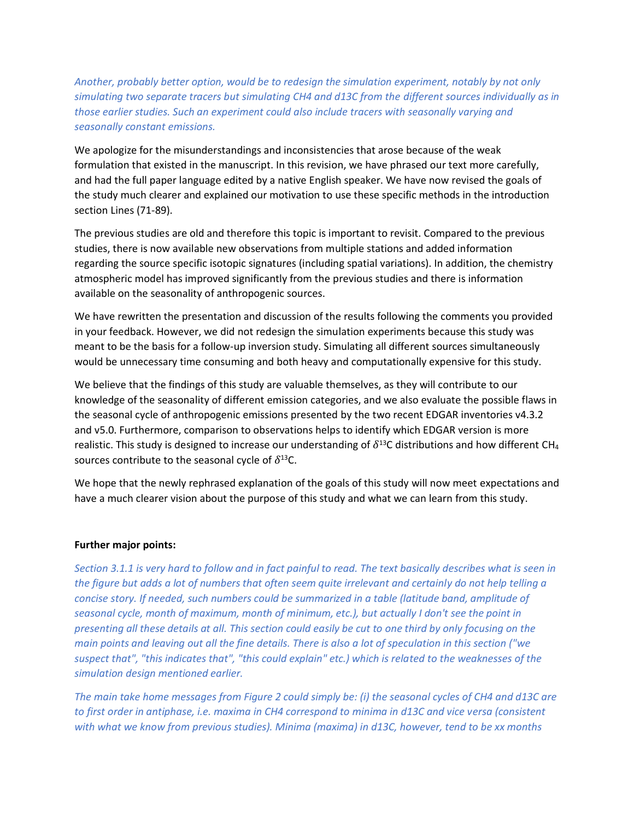*Another, probably better option, would be to redesign the simulation experiment, notably by not only simulating two separate tracers but simulating CH4 and d13C from the different sources individually as in those earlier studies. Such an experiment could also include tracers with seasonally varying and seasonally constant emissions.*

We apologize for the misunderstandings and inconsistencies that arose because of the weak formulation that existed in the manuscript. In this revision, we have phrased our text more carefully, and had the full paper language edited by a native English speaker. We have now revised the goals of the study much clearer and explained our motivation to use these specific methods in the introduction section Lines (71-89).

The previous studies are old and therefore this topic is important to revisit. Compared to the previous studies, there is now available new observations from multiple stations and added information regarding the source specific isotopic signatures (including spatial variations). In addition, the chemistry atmospheric model has improved significantly from the previous studies and there is information available on the seasonality of anthropogenic sources.

We have rewritten the presentation and discussion of the results following the comments you provided in your feedback. However, we did not redesign the simulation experiments because this study was meant to be the basis for a follow-up inversion study. Simulating all different sources simultaneously would be unnecessary time consuming and both heavy and computationally expensive for this study.

We believe that the findings of this study are valuable themselves, as they will contribute to our knowledge of the seasonality of different emission categories, and we also evaluate the possible flaws in the seasonal cycle of anthropogenic emissions presented by the two recent EDGAR inventories v4.3.2 and v5.0. Furthermore, comparison to observations helps to identify which EDGAR version is more realistic. This study is designed to increase our understanding of  $\delta^{13}$ C distributions and how different CH<sub>4</sub> sources contribute to the seasonal cycle of  $\delta^{13}$ C.

We hope that the newly rephrased explanation of the goals of this study will now meet expectations and have a much clearer vision about the purpose of this study and what we can learn from this study.

# **Further major points:**

*Section 3.1.1 is very hard to follow and in fact painful to read. The text basically describes what is seen in the figure but adds a lot of numbers that often seem quite irrelevant and certainly do not help telling a concise story. If needed, such numbers could be summarized in a table (latitude band, amplitude of seasonal cycle, month of maximum, month of minimum, etc.), but actually I don't see the point in presenting all these details at all. This section could easily be cut to one third by only focusing on the main points and leaving out all the fine details. There is also a lot of speculation in this section ("we suspect that", "this indicates that", "this could explain" etc.) which is related to the weaknesses of the simulation design mentioned earlier.*

*The main take home messages from Figure 2 could simply be: (i) the seasonal cycles of CH4 and d13C are to first order in antiphase, i.e. maxima in CH4 correspond to minima in d13C and vice versa (consistent with what we know from previous studies). Minima (maxima) in d13C, however, tend to be xx months*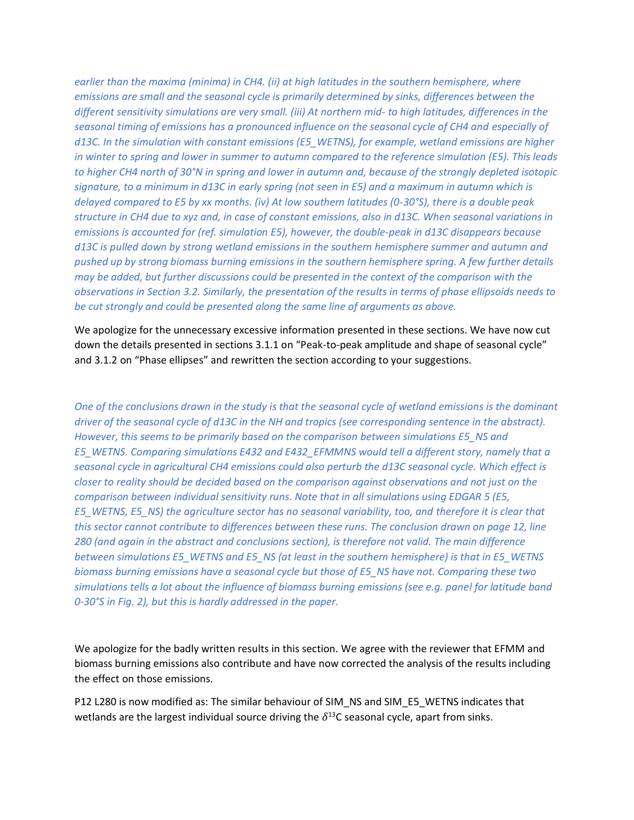*earlier than the maxima (minima) in CH4. (ii) at high latitudes in the southern hemisphere, where emissions are small and the seasonal cycle is primarily determined by sinks, differences between the different sensitivity simulations are very small. (iii) At northern mid- to high latitudes, differences in the seasonal timing of emissions has a pronounced influence on the seasonal cycle of CH4 and especially of d13C. In the simulation with constant emissions (E5\_WETNS), for example, wetland emissions are higher in winter to spring and lower in summer to autumn compared to the reference simulation (E5). This leads to higher CH4 north of 30°N in spring and lower in autumn and, because of the strongly depleted isotopic signature, to a minimum in d13C in early spring (not seen in E5) and a maximum in autumn which is delayed compared to E5 by xx months. (iv) At low southern latitudes (0-30°S), there is a double peak structure in CH4 due to xyz and, in case of constant emissions, also in d13C. When seasonal variations in emissions is accounted for (ref. simulation E5), however, the double-peak in d13C disappears because d13C is pulled down by strong wetland emissions in the southern hemisphere summer and autumn and pushed up by strong biomass burning emissions in the southern hemisphere spring. A few further details may be added, but further discussions could be presented in the context of the comparison with the observations in Section 3.2. Similarly, the presentation of the results in terms of phase ellipsoids needs to be cut strongly and could be presented along the same line of arguments as above.*

We apologize for the unnecessary excessive information presented in these sections. We have now cut down the details presented in sections 3.1.1 on "Peak-to-peak amplitude and shape of seasonal cycle" and 3.1.2 on "Phase ellipses" and rewritten the section according to your suggestions.

*One of the conclusions drawn in the study is that the seasonal cycle of wetland emissions is the dominant driver of the seasonal cycle of d13C in the NH and tropics (see corresponding sentence in the abstract). However, this seems to be primarily based on the comparison between simulations E5\_NS and E5\_WETNS. Comparing simulations E432 and E432\_EFMMNS would tell a different story, namely that a seasonal cycle in agricultural CH4 emissions could also perturb the d13C seasonal cycle. Which effect is closer to reality should be decided based on the comparison against observations and not just on the comparison between individual sensitivity runs. Note that in all simulations using EDGAR 5 (E5, E5\_WETNS, E5\_NS) the agriculture sector has no seasonal variability, too, and therefore it is clear that this sector cannot contribute to differences between these runs. The conclusion drawn on page 12, line 280 (and again in the abstract and conclusions section), is therefore not valid. The main difference between simulations E5\_WETNS and E5\_NS (at least in the southern hemisphere) is that in E5\_WETNS biomass burning emissions have a seasonal cycle but those of E5\_NS have not. Comparing these two simulations tells a lot about the influence of biomass burning emissions (see e.g. panel for latitude band 0-30°S in Fig. 2), but this is hardly addressed in the paper.*

We apologize for the badly written results in this section. We agree with the reviewer that EFMM and biomass burning emissions also contribute and have now corrected the analysis of the results including the effect on those emissions.

P12 L280 is now modified as: The similar behaviour of SIM\_NS and SIM\_E5\_WETNS indicates that wetlands are the largest individual source driving the  $\delta^{13}$ C seasonal cycle, apart from sinks.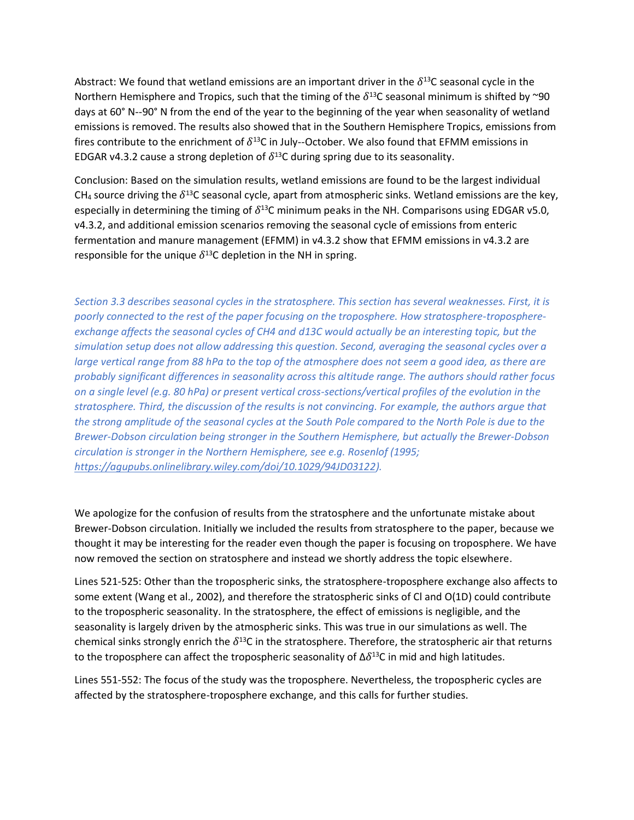Abstract: We found that wetland emissions are an important driver in the  $\delta^{13}$ C seasonal cycle in the Northern Hemisphere and Tropics, such that the timing of the  $\delta^{13}$ C seasonal minimum is shifted by ~90 days at 60° N--90° N from the end of the year to the beginning of the year when seasonality of wetland emissions is removed. The results also showed that in the Southern Hemisphere Tropics, emissions from fires contribute to the enrichment of  $\delta^{13}$ C in July--October. We also found that EFMM emissions in EDGAR v4.3.2 cause a strong depletion of  $\delta^{13}$ C during spring due to its seasonality.

Conclusion: Based on the simulation results, wetland emissions are found to be the largest individual CH<sub>4</sub> source driving the  $\delta^{13}$ C seasonal cycle, apart from atmospheric sinks. Wetland emissions are the key, especially in determining the timing of  $\delta^{13}$ C minimum peaks in the NH. Comparisons using EDGAR v5.0, v4.3.2, and additional emission scenarios removing the seasonal cycle of emissions from enteric fermentation and manure management (EFMM) in v4.3.2 show that EFMM emissions in v4.3.2 are responsible for the unique  $\delta^{13}$ C depletion in the NH in spring.

*Section 3.3 describes seasonal cycles in the stratosphere. This section has several weaknesses. First, it is poorly connected to the rest of the paper focusing on the troposphere. How stratosphere-troposphereexchange affects the seasonal cycles of CH4 and d13C would actually be an interesting topic, but the simulation setup does not allow addressing this question. Second, averaging the seasonal cycles over a large vertical range from 88 hPa to the top of the atmosphere does not seem a good idea, as there are probably significant differences in seasonality across this altitude range. The authors should rather focus on a single level (e.g. 80 hPa) or present vertical cross-sections/vertical profiles of the evolution in the stratosphere. Third, the discussion of the results is not convincing. For example, the authors argue that the strong amplitude of the seasonal cycles at the South Pole compared to the North Pole is due to the Brewer-Dobson circulation being stronger in the Southern Hemisphere, but actually the Brewer-Dobson circulation is stronger in the Northern Hemisphere, see e.g. Rosenlof (1995; [https://agupubs.onlinelibrary.wiley.com/doi/10.1029/94JD03122\)](https://agupubs.onlinelibrary.wiley.com/doi/10.1029/94JD03122).*

We apologize for the confusion of results from the stratosphere and the unfortunate mistake about Brewer-Dobson circulation. Initially we included the results from stratosphere to the paper, because we thought it may be interesting for the reader even though the paper is focusing on troposphere. We have now removed the section on stratosphere and instead we shortly address the topic elsewhere.

Lines 521-525: Other than the tropospheric sinks, the stratosphere-troposphere exchange also affects to some extent (Wang et al., 2002), and therefore the stratospheric sinks of Cl and O(1D) could contribute to the tropospheric seasonality. In the stratosphere, the effect of emissions is negligible, and the seasonality is largely driven by the atmospheric sinks. This was true in our simulations as well. The chemical sinks strongly enrich the  $\delta^{13}$ C in the stratosphere. Therefore, the stratospheric air that returns to the troposphere can affect the tropospheric seasonality of  $\Delta \delta^{13}$ C in mid and high latitudes.

Lines 551-552: The focus of the study was the troposphere. Nevertheless, the tropospheric cycles are affected by the stratosphere-troposphere exchange, and this calls for further studies.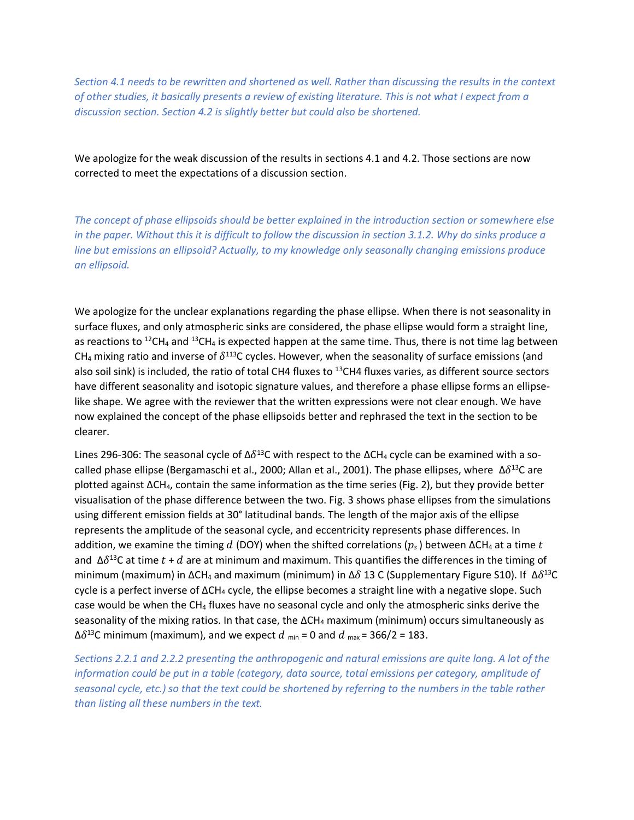*Section 4.1 needs to be rewritten and shortened as well. Rather than discussing the results in the context of other studies, it basically presents a review of existing literature. This is not what I expect from a discussion section. Section 4.2 is slightly better but could also be shortened.*

We apologize for the weak discussion of the results in sections 4.1 and 4.2. Those sections are now corrected to meet the expectations of a discussion section.

*The concept of phase ellipsoids should be better explained in the introduction section or somewhere else in the paper. Without this it is difficult to follow the discussion in section 3.1.2. Why do sinks produce a line but emissions an ellipsoid? Actually, to my knowledge only seasonally changing emissions produce an ellipsoid.*

We apologize for the unclear explanations regarding the phase ellipse. When there is not seasonality in surface fluxes, and only atmospheric sinks are considered, the phase ellipse would form a straight line, as reactions to <sup>12</sup>CH<sub>4</sub> and <sup>13</sup>CH<sub>4</sub> is expected happen at the same time. Thus, there is not time lag between CH<sub>4</sub> mixing ratio and inverse of  $\delta^{113}$ C cycles. However, when the seasonality of surface emissions (and also soil sink) is included, the ratio of total CH4 fluxes to <sup>13</sup>CH4 fluxes varies, as different source sectors have different seasonality and isotopic signature values, and therefore a phase ellipse forms an ellipselike shape. We agree with the reviewer that the written expressions were not clear enough. We have now explained the concept of the phase ellipsoids better and rephrased the text in the section to be clearer.

Lines 296-306: The seasonal cycle of  $Δδ<sup>13</sup>C$  with respect to the  $ΔCH<sub>4</sub>$  cycle can be examined with a socalled phase ellipse (Bergamaschi et al., 2000; Allan et al., 2001). The phase ellipses, where  $\Delta \delta^{13}$ C are plotted against ΔCH4, contain the same information as the time series (Fig. 2), but they provide better visualisation of the phase difference between the two. Fig. 3 shows phase ellipses from the simulations using different emission fields at 30° latitudinal bands. The length of the major axis of the ellipse represents the amplitude of the seasonal cycle, and eccentricity represents phase differences. In addition, we examine the timing d (DOY) when the shifted correlations ( $p_s$ ) between  $\Delta CH_4$  at a time t and Δ $\delta^{13}$ C at time  $t$  +  $d$  are at minimum and maximum. This quantifies the differences in the timing of minimum (maximum) in ΔCH<sub>4</sub> and maximum (minimum) in Δ $\delta$  13 C (Supplementary Figure S10). If  $\Delta \delta^{13}$ C cycle is a perfect inverse of  $ΔCH_4$  cycle, the ellipse becomes a straight line with a negative slope. Such case would be when the CH<sup>4</sup> fluxes have no seasonal cycle and only the atmospheric sinks derive the seasonality of the mixing ratios. In that case, the  $\Delta CH_4$  maximum (minimum) occurs simultaneously as Δδ<sup>13</sup>C minimum (maximum), and we expect  $d$  <sub>min</sub> = 0 and  $d$  <sub>max</sub> = 366/2 = 183.

*Sections 2.2.1 and 2.2.2 presenting the anthropogenic and natural emissions are quite long. A lot of the information could be put in a table (category, data source, total emissions per category, amplitude of seasonal cycle, etc.) so that the text could be shortened by referring to the numbers in the table rather than listing all these numbers in the text.*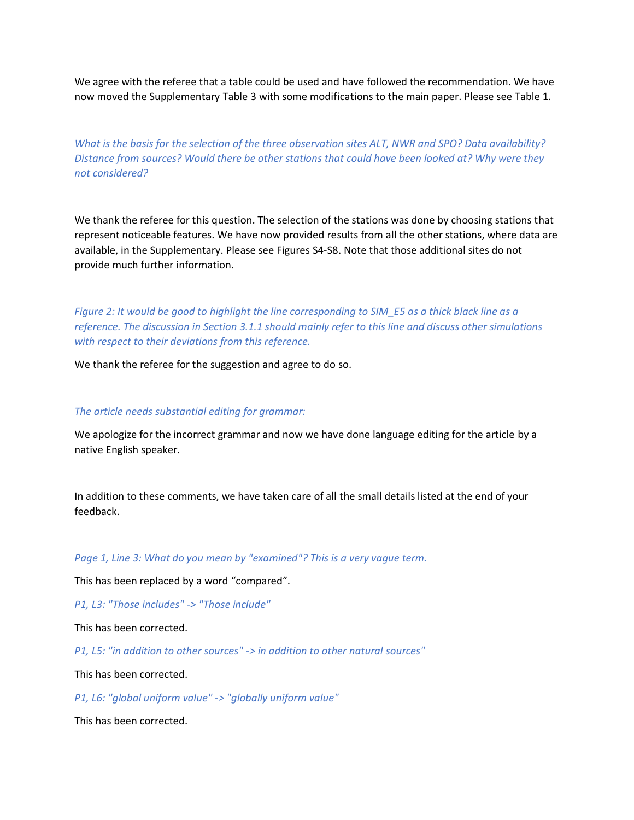We agree with the referee that a table could be used and have followed the recommendation. We have now moved the Supplementary Table 3 with some modifications to the main paper. Please see Table 1.

*What is the basis for the selection of the three observation sites ALT, NWR and SPO? Data availability? Distance from sources? Would there be other stations that could have been looked at? Why were they not considered?*

We thank the referee for this question. The selection of the stations was done by choosing stations that represent noticeable features. We have now provided results from all the other stations, where data are available, in the Supplementary. Please see Figures S4-S8. Note that those additional sites do not provide much further information.

*Figure 2: It would be good to highlight the line corresponding to SIM\_E5 as a thick black line as a reference. The discussion in Section 3.1.1 should mainly refer to this line and discuss other simulations with respect to their deviations from this reference.*

We thank the referee for the suggestion and agree to do so.

#### *The article needs substantial editing for grammar:*

We apologize for the incorrect grammar and now we have done language editing for the article by a native English speaker.

In addition to these comments, we have taken care of all the small details listed at the end of your feedback.

*Page 1, Line 3: What do you mean by "examined"? This is a very vague term.*

This has been replaced by a word "compared".

*P1, L3: "Those includes" -> "Those include"*

This has been corrected.

*P1, L5: "in addition to other sources" -> in addition to other natural sources"*

This has been corrected.

*P1, L6: "global uniform value" -> "globally uniform value"*

This has been corrected.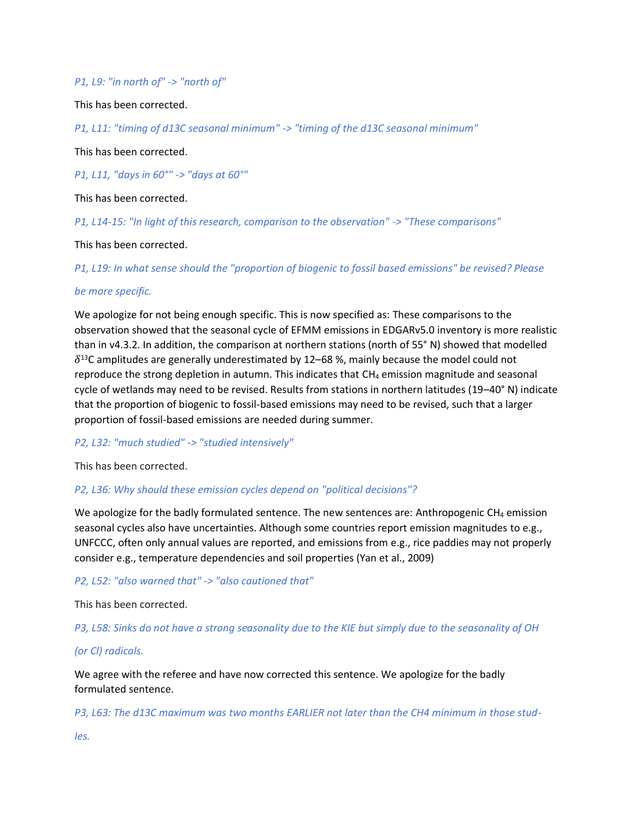### *P1, L9: "in north of" -> "north of"*

This has been corrected.

*P1, L11: "timing of d13C seasonal minimum" -> "timing of the d13C seasonal minimum"*

This has been corrected.

*P1, L11, "days in 60°" -> "days at 60°"*

This has been corrected.

*P1, L14-15: "In light of this research, comparison to the observation" -> "These comparisons"*

This has been corrected.

*P1, L19: In what sense should the "proportion of biogenic to fossil based emissions" be revised? Please*

#### *be more specific.*

We apologize for not being enough specific. This is now specified as: These comparisons to the observation showed that the seasonal cycle of EFMM emissions in EDGARv5.0 inventory is more realistic than in v4.3.2. In addition, the comparison at northern stations (north of 55° N) showed that modelled  $\delta^{13}$ C amplitudes are generally underestimated by 12–68 %, mainly because the model could not reproduce the strong depletion in autumn. This indicates that  $CH_4$  emission magnitude and seasonal cycle of wetlands may need to be revised. Results from stations in northern latitudes (19–40° N) indicate that the proportion of biogenic to fossil-based emissions may need to be revised, such that a larger proportion of fossil-based emissions are needed during summer.

#### *P2, L32: "much studied" -> "studied intensively"*

This has been corrected.

# *P2, L36: Why should these emission cycles depend on "political decisions"?*

We apologize for the badly formulated sentence. The new sentences are: Anthropogenic CH<sub>4</sub> emission seasonal cycles also have uncertainties. Although some countries report emission magnitudes to e.g., UNFCCC, often only annual values are reported, and emissions from e.g., rice paddies may not properly consider e.g., temperature dependencies and soil properties (Yan et al., 2009)

# *P2, L52: "also warned that" -> "also cautioned that"*

This has been corrected.

*P3, L58: Sinks do not have a strong seasonality due to the KIE but simply due to the seasonality of OH*

# *(or Cl) radicals.*

We agree with the referee and have now corrected this sentence. We apologize for the badly formulated sentence.

*P3, L63: The d13C maximum was two months EARLIER not later than the CH4 minimum in those stud-*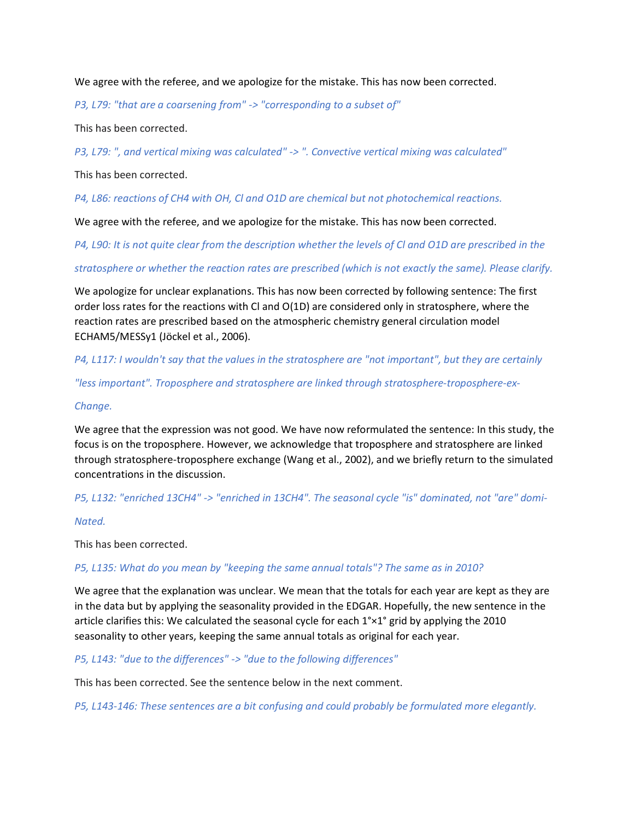We agree with the referee, and we apologize for the mistake. This has now been corrected.

*P3, L79: "that are a coarsening from" -> "corresponding to a subset of"*

This has been corrected.

*P3, L79: ", and vertical mixing was calculated" -> ". Convective vertical mixing was calculated"*

This has been corrected.

*P4, L86: reactions of CH4 with OH, Cl and O1D are chemical but not photochemical reactions.*

We agree with the referee, and we apologize for the mistake. This has now been corrected.

*P4, L90: It is not quite clear from the description whether the levels of Cl and O1D are prescribed in the*

*stratosphere or whether the reaction rates are prescribed (which is not exactly the same). Please clarify.*

We apologize for unclear explanations. This has now been corrected by following sentence: The first order loss rates for the reactions with Cl and O(1D) are considered only in stratosphere, where the reaction rates are prescribed based on the atmospheric chemistry general circulation model ECHAM5/MESSy1 (Jöckel et al., 2006).

*P4, L117: I wouldn't say that the values in the stratosphere are "not important", but they are certainly*

*"less important". Troposphere and stratosphere are linked through stratosphere-troposphere-ex-*

### *Change.*

We agree that the expression was not good. We have now reformulated the sentence: In this study, the focus is on the troposphere. However, we acknowledge that troposphere and stratosphere are linked through stratosphere-troposphere exchange (Wang et al., 2002), and we briefly return to the simulated concentrations in the discussion.

*P5, L132: "enriched 13CH4" -> "enriched in 13CH4". The seasonal cycle "is" dominated, not "are" domi-*

#### *Nated.*

This has been corrected.

# *P5, L135: What do you mean by "keeping the same annual totals"? The same as in 2010?*

We agree that the explanation was unclear. We mean that the totals for each year are kept as they are in the data but by applying the seasonality provided in the EDGAR. Hopefully, the new sentence in the article clarifies this: We calculated the seasonal cycle for each 1°×1° grid by applying the 2010 seasonality to other years, keeping the same annual totals as original for each year.

*P5, L143: "due to the differences" -> "due to the following differences"*

This has been corrected. See the sentence below in the next comment.

*P5, L143-146: These sentences are a bit confusing and could probably be formulated more elegantly.*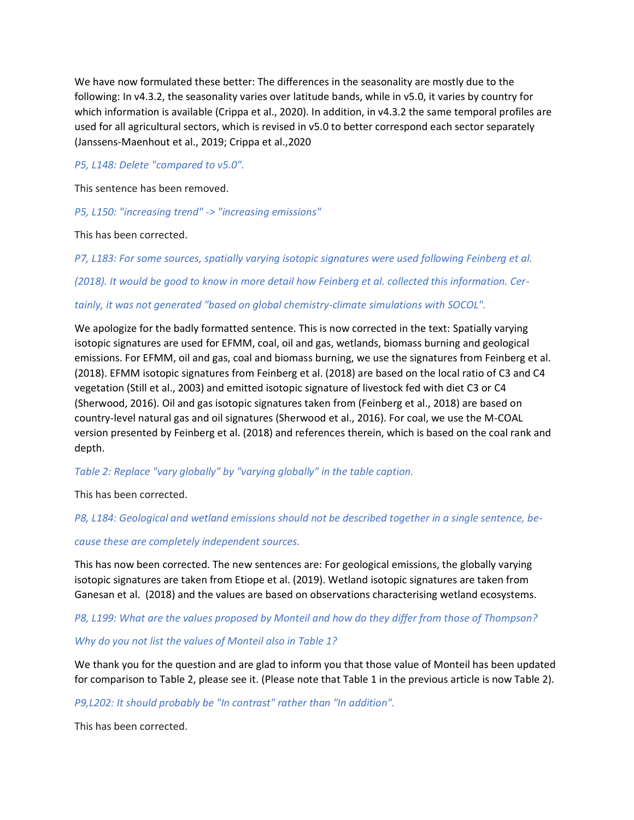We have now formulated these better: The differences in the seasonality are mostly due to the following: In v4.3.2, the seasonality varies over latitude bands, while in v5.0, it varies by country for which information is available (Crippa et al., 2020). In addition, in v4.3.2 the same temporal profiles are used for all agricultural sectors, which is revised in v5.0 to better correspond each sector separately (Janssens-Maenhout et al., 2019; Crippa et al.,2020

# *P5, L148: Delete "compared to v5.0".*

This sentence has been removed.

*P5, L150: "increasing trend" -> "increasing emissions"*

This has been corrected.

*P7, L183: For some sources, spatially varying isotopic signatures were used following Feinberg et al.*

*(2018). It would be good to know in more detail how Feinberg et al. collected this information. Cer-*

# *tainly, it was not generated "based on global chemistry-climate simulations with SOCOL".*

We apologize for the badly formatted sentence. This is now corrected in the text: Spatially varying isotopic signatures are used for EFMM, coal, oil and gas, wetlands, biomass burning and geological emissions. For EFMM, oil and gas, coal and biomass burning, we use the signatures from Feinberg et al. (2018). EFMM isotopic signatures from Feinberg et al. (2018) are based on the local ratio of C3 and C4 vegetation (Still et al., 2003) and emitted isotopic signature of livestock fed with diet C3 or C4 (Sherwood, 2016). Oil and gas isotopic signatures taken from (Feinberg et al., 2018) are based on country-level natural gas and oil signatures (Sherwood et al., 2016). For coal, we use the M-COAL version presented by Feinberg et al. (2018) and references therein, which is based on the coal rank and depth.

*Table 2: Replace "vary globally" by "varying globally" in the table caption.*

This has been corrected.

*P8, L184: Geological and wetland emissions should not be described together in a single sentence, be-*

# *cause these are completely independent sources.*

This has now been corrected. The new sentences are: For geological emissions, the globally varying isotopic signatures are taken from Etiope et al. (2019). Wetland isotopic signatures are taken from Ganesan et al. (2018) and the values are based on observations characterising wetland ecosystems.

# *P8, L199: What are the values proposed by Monteil and how do they differ from those of Thompson?*

# *Why do you not list the values of Monteil also in Table 1?*

We thank you for the question and are glad to inform you that those value of Monteil has been updated for comparison to Table 2, please see it. (Please note that Table 1 in the previous article is now Table 2).

*P9,L202: It should probably be "In contrast" rather than "In addition".*

This has been corrected.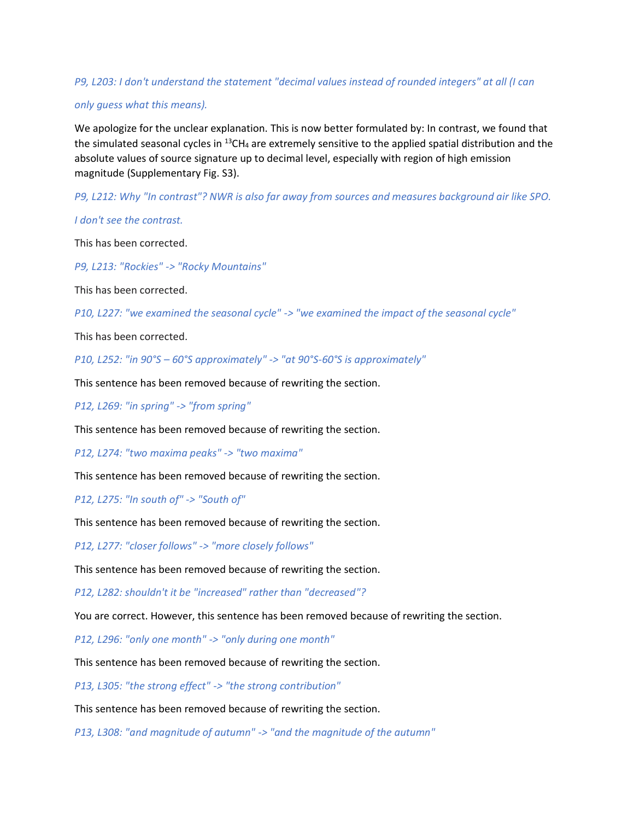# *P9, L203: I don't understand the statement "decimal values instead of rounded integers" at all (I can*

#### *only guess what this means).*

We apologize for the unclear explanation. This is now better formulated by: In contrast, we found that the simulated seasonal cycles in  $^{13}$ CH<sub>4</sub> are extremely sensitive to the applied spatial distribution and the absolute values of source signature up to decimal level, especially with region of high emission magnitude (Supplementary Fig. S3).

*P9, L212: Why "In contrast"? NWR is also far away from sources and measures background air like SPO.*

*I don't see the contrast.*

This has been corrected.

*P9, L213: "Rockies" -> "Rocky Mountains"*

This has been corrected.

*P10, L227: "we examined the seasonal cycle" -> "we examined the impact of the seasonal cycle"*

This has been corrected.

*P10, L252: "in 90°S – 60°S approximately" -> "at 90°S-60°S is approximately"*

This sentence has been removed because of rewriting the section.

*P12, L269: "in spring" -> "from spring"*

This sentence has been removed because of rewriting the section.

*P12, L274: "two maxima peaks" -> "two maxima"*

This sentence has been removed because of rewriting the section.

*P12, L275: "In south of" -> "South of"*

This sentence has been removed because of rewriting the section.

*P12, L277: "closer follows" -> "more closely follows"*

This sentence has been removed because of rewriting the section.

*P12, L282: shouldn't it be "increased" rather than "decreased"?*

You are correct. However, this sentence has been removed because of rewriting the section.

*P12, L296: "only one month" -> "only during one month"*

This sentence has been removed because of rewriting the section.

*P13, L305: "the strong effect" -> "the strong contribution"*

This sentence has been removed because of rewriting the section.

*P13, L308: "and magnitude of autumn" -> "and the magnitude of the autumn"*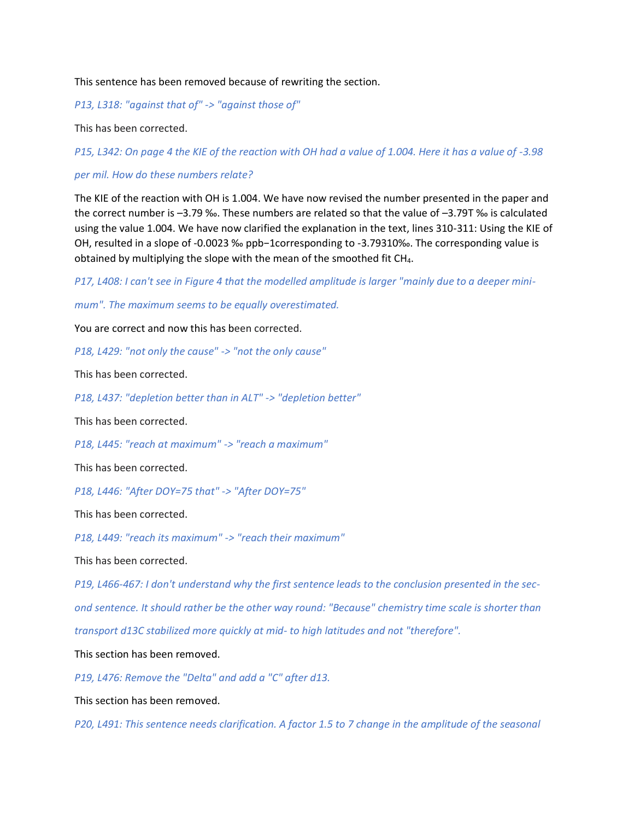This sentence has been removed because of rewriting the section.

*P13, L318: "against that of" -> "against those of"*

This has been corrected.

*P15, L342: On page 4 the KIE of the reaction with OH had a value of 1.004. Here it has a value of -3.98*

*per mil. How do these numbers relate?*

The KIE of the reaction with OH is 1.004. We have now revised the number presented in the paper and the correct number is –3.79 ‰. These numbers are related so that the value of –3.79T ‰ is calculated using the value 1.004. We have now clarified the explanation in the text, lines 310-311: Using the KIE of OH, resulted in a slope of -0.0023 ‰ ppb−1corresponding to -3.79310‰. The corresponding value is obtained by multiplying the slope with the mean of the smoothed fit CH<sub>4</sub>.

*P17, L408: I can't see in Figure 4 that the modelled amplitude is larger "mainly due to a deeper mini-*

*mum". The maximum seems to be equally overestimated.*

You are correct and now this has been corrected.

*P18, L429: "not only the cause" -> "not the only cause"*

This has been corrected.

*P18, L437: "depletion better than in ALT" -> "depletion better"*

This has been corrected.

*P18, L445: "reach at maximum" -> "reach a maximum"*

This has been corrected.

*P18, L446: "After DOY=75 that" -> "After DOY=75"*

This has been corrected.

*P18, L449: "reach its maximum" -> "reach their maximum"*

This has been corrected.

*P19, L466-467: I don't understand why the first sentence leads to the conclusion presented in the second sentence. It should rather be the other way round: "Because" chemistry time scale is shorter than transport d13C stabilized more quickly at mid- to high latitudes and not "therefore".*

This section has been removed.

*P19, L476: Remove the "Delta" and add a "C" after d13.*

This section has been removed.

*P20, L491: This sentence needs clarification. A factor 1.5 to 7 change in the amplitude of the seasonal*